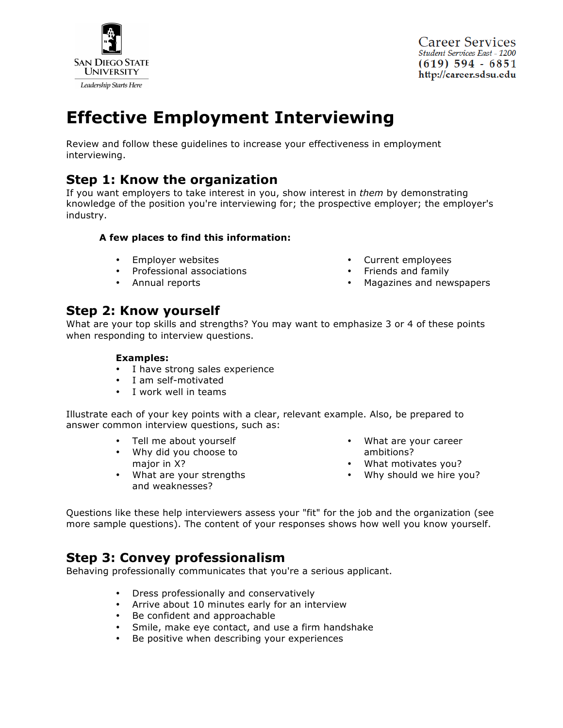

**Career Services Student Services East - 1200**  $(619)$  594 - 6851 http://career.sdsu.edu

# **Effective Employment Interviewing**

Review and follow these guidelines to increase your effectiveness in employment interviewing.

# **Step 1: Know the organization**

If you want employers to take interest in you, show interest in *them* by demonstrating knowledge of the position you're interviewing for; the prospective employer; the employer's industry.

#### **A few places to find this information:**

- Employer websites
- Professional associations
- Annual reports
- Current employees
- Friends and family
- Magazines and newspapers

# **Step 2: Know yourself**

What are your top skills and strengths? You may want to emphasize 3 or 4 of these points when responding to interview questions.

#### **Examples:**

- I have strong sales experience
- I am self-motivated
- I work well in teams

Illustrate each of your key points with a clear, relevant example. Also, be prepared to answer common interview questions, such as:

- Tell me about yourself
- Why did you choose to major in X?
- What are your strengths and weaknesses?
- What are your career ambitions?
- What motivates you?
- Why should we hire you?

Questions like these help interviewers assess your "fit" for the job and the organization (see more sample questions). The content of your responses shows how well you know yourself.

# **Step 3: Convey professionalism**

Behaving professionally communicates that you're a serious applicant.

- Dress professionally and conservatively
- Arrive about 10 minutes early for an interview
- Be confident and approachable
- Smile, make eye contact, and use a firm handshake
- Be positive when describing your experiences